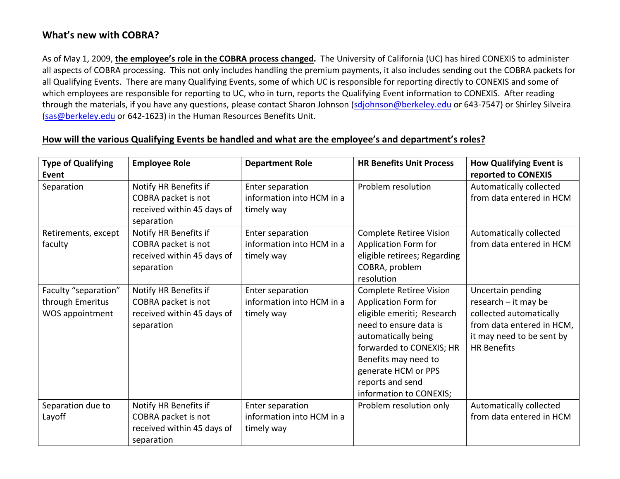## **What's new with COBRA?**

As of May 1, 2009, **the employee's role in the COBRA process changed.** The University of California (UC) has hired CONEXIS to administer all aspects of COBRA processing. This not only includes handling the premium payments, it also includes sending out the COBRA packets for all Qualifying Events. There are many Qualifying Events, some of which UC is responsible for reporting directly to CONEXIS and some of which employees are responsible for reporting to UC, who in turn, reports the Qualifying Event information to CONEXIS. After reading through the materials, if you have any questions, please contact Sharon Johnson ([sdjohnson@berkeley.edu](mailto:sdjohnson@berkeley.edu) or 643-7547) or Shirley Silveira ([sas@berkeley.edu](mailto:sas@berkeley.edu) or 642‐1623) in the Human Resources Benefits Unit.

| <b>Type of Qualifying</b> | <b>Employee Role</b>       | <b>Department Role</b>    | <b>HR Benefits Unit Process</b> | <b>How Qualifying Event is</b> |
|---------------------------|----------------------------|---------------------------|---------------------------------|--------------------------------|
| Event                     |                            |                           |                                 | reported to CONEXIS            |
| Separation                | Notify HR Benefits if      | Enter separation          | Problem resolution              | Automatically collected        |
|                           | COBRA packet is not        | information into HCM in a |                                 | from data entered in HCM       |
|                           | received within 45 days of | timely way                |                                 |                                |
|                           | separation                 |                           |                                 |                                |
| Retirements, except       | Notify HR Benefits if      | Enter separation          | Complete Retiree Vision         | Automatically collected        |
| faculty                   | COBRA packet is not        | information into HCM in a | Application Form for            | from data entered in HCM       |
|                           | received within 45 days of | timely way                | eligible retirees; Regarding    |                                |
|                           | separation                 |                           | COBRA, problem                  |                                |
|                           |                            |                           | resolution                      |                                |
| Faculty "separation"      | Notify HR Benefits if      | Enter separation          | Complete Retiree Vision         | Uncertain pending              |
| through Emeritus          | COBRA packet is not        | information into HCM in a | Application Form for            | research - it may be           |
| WOS appointment           | received within 45 days of | timely way                | eligible emeriti; Research      | collected automatically        |
|                           | separation                 |                           | need to ensure data is          | from data entered in HCM,      |
|                           |                            |                           | automatically being             | it may need to be sent by      |
|                           |                            |                           | forwarded to CONEXIS; HR        | <b>HR Benefits</b>             |
|                           |                            |                           | Benefits may need to            |                                |
|                           |                            |                           | generate HCM or PPS             |                                |
|                           |                            |                           | reports and send                |                                |
|                           |                            |                           | information to CONEXIS;         |                                |
| Separation due to         | Notify HR Benefits if      | Enter separation          | Problem resolution only         | Automatically collected        |
| Layoff                    | COBRA packet is not        | information into HCM in a |                                 | from data entered in HCM       |
|                           | received within 45 days of | timely way                |                                 |                                |
|                           | separation                 |                           |                                 |                                |

## **How will the various Qualifying Events be handled and what are the employee's and department's roles?**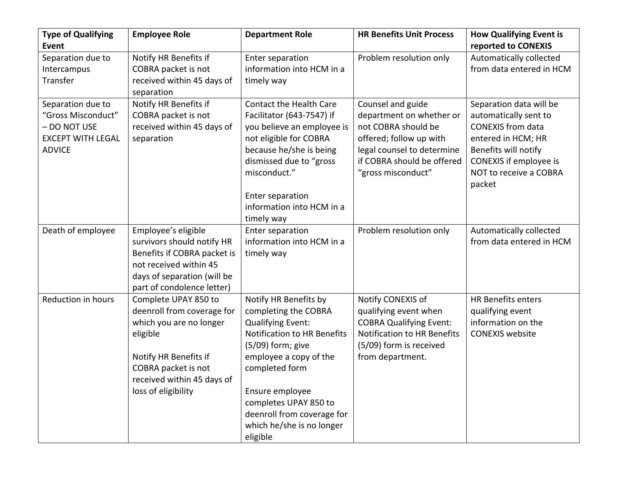| <b>Type of Qualifying</b> | <b>Employee Role</b>        | <b>Department Role</b>             | <b>HR Benefits Unit Process</b>    | <b>How Qualifying Event is</b> |
|---------------------------|-----------------------------|------------------------------------|------------------------------------|--------------------------------|
| <b>Event</b>              |                             |                                    |                                    | reported to CONEXIS            |
| Separation due to         | Notify HR Benefits if       | Enter separation                   | Problem resolution only            | Automatically collected        |
| Intercampus               | COBRA packet is not         | information into HCM in a          |                                    | from data entered in HCM       |
| Transfer                  | received within 45 days of  | timely way                         |                                    |                                |
|                           | separation                  |                                    |                                    |                                |
| Separation due to         | Notify HR Benefits if       | <b>Contact the Health Care</b>     | Counsel and guide                  | Separation data will be        |
| "Gross Misconduct"        | COBRA packet is not         | Facilitator (643-7547) if          | department on whether or           | automatically sent to          |
| - DO NOT USE              | received within 45 days of  | you believe an employee is         | not COBRA should be                | <b>CONEXIS</b> from data       |
| <b>EXCEPT WITH LEGAL</b>  | separation                  | not eligible for COBRA             | offered; follow up with            | entered in HCM; HR             |
| <b>ADVICE</b>             |                             | because he/she is being            | legal counsel to determine         | Benefits will notify           |
|                           |                             | dismissed due to "gross            | if COBRA should be offered         | CONEXIS if employee is         |
|                           |                             | misconduct."                       | "gross misconduct"                 | NOT to receive a COBRA         |
|                           |                             |                                    |                                    | packet                         |
|                           |                             | Enter separation                   |                                    |                                |
|                           |                             | information into HCM in a          |                                    |                                |
|                           |                             | timely way                         |                                    |                                |
| Death of employee         | Employee's eligible         | Enter separation                   | Problem resolution only            | Automatically collected        |
|                           | survivors should notify HR  | information into HCM in a          |                                    | from data entered in HCM       |
|                           | Benefits if COBRA packet is | timely way                         |                                    |                                |
|                           | not received within 45      |                                    |                                    |                                |
|                           | days of separation (will be |                                    |                                    |                                |
|                           | part of condolence letter)  |                                    |                                    |                                |
| Reduction in hours        | Complete UPAY 850 to        | Notify HR Benefits by              | Notify CONEXIS of                  | <b>HR Benefits enters</b>      |
|                           | deenroll from coverage for  | completing the COBRA               | qualifying event when              | qualifying event               |
|                           | which you are no longer     | <b>Qualifying Event:</b>           | <b>COBRA Qualifying Event:</b>     | information on the             |
|                           | eligible                    | <b>Notification to HR Benefits</b> | <b>Notification to HR Benefits</b> | <b>CONEXIS website</b>         |
|                           |                             | $(5/09)$ form; give                | (5/09) form is received            |                                |
|                           | Notify HR Benefits if       | employee a copy of the             | from department.                   |                                |
|                           | COBRA packet is not         | completed form                     |                                    |                                |
|                           | received within 45 days of  |                                    |                                    |                                |
|                           | loss of eligibility         | Ensure employee                    |                                    |                                |
|                           |                             | completes UPAY 850 to              |                                    |                                |
|                           |                             | deenroll from coverage for         |                                    |                                |
|                           |                             | which he/she is no longer          |                                    |                                |
|                           |                             | eligible                           |                                    |                                |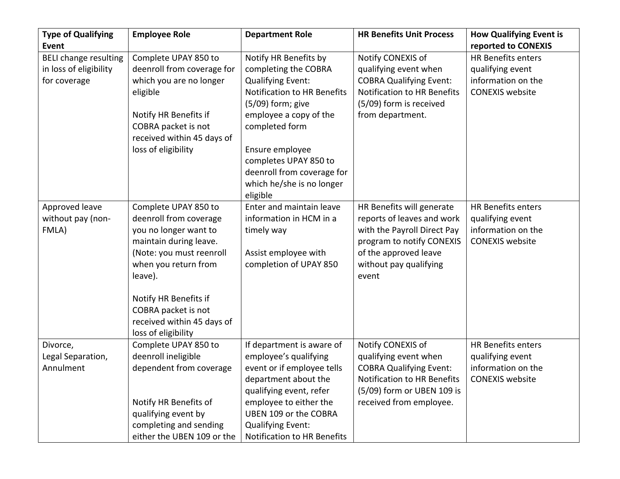| <b>Type of Qualifying</b>    | <b>Employee Role</b>       | <b>Department Role</b>             | <b>HR Benefits Unit Process</b>    | <b>How Qualifying Event is</b> |
|------------------------------|----------------------------|------------------------------------|------------------------------------|--------------------------------|
| <b>Event</b>                 |                            |                                    |                                    | reported to CONEXIS            |
| <b>BELI change resulting</b> | Complete UPAY 850 to       | Notify HR Benefits by              | Notify CONEXIS of                  | <b>HR Benefits enters</b>      |
| in loss of eligibility       | deenroll from coverage for | completing the COBRA               | qualifying event when              | qualifying event               |
| for coverage                 | which you are no longer    | <b>Qualifying Event:</b>           | <b>COBRA Qualifying Event:</b>     | information on the             |
|                              | eligible                   | <b>Notification to HR Benefits</b> | <b>Notification to HR Benefits</b> | <b>CONEXIS</b> website         |
|                              |                            | $(5/09)$ form; give                | (5/09) form is received            |                                |
|                              | Notify HR Benefits if      | employee a copy of the             | from department.                   |                                |
|                              | COBRA packet is not        | completed form                     |                                    |                                |
|                              | received within 45 days of |                                    |                                    |                                |
|                              | loss of eligibility        | Ensure employee                    |                                    |                                |
|                              |                            | completes UPAY 850 to              |                                    |                                |
|                              |                            | deenroll from coverage for         |                                    |                                |
|                              |                            | which he/she is no longer          |                                    |                                |
|                              |                            | eligible                           |                                    |                                |
| Approved leave               | Complete UPAY 850 to       | Enter and maintain leave           | HR Benefits will generate          | <b>HR Benefits enters</b>      |
| without pay (non-            | deenroll from coverage     | information in HCM in a            | reports of leaves and work         | qualifying event               |
| FMLA)                        | you no longer want to      | timely way                         | with the Payroll Direct Pay        | information on the             |
|                              | maintain during leave.     |                                    | program to notify CONEXIS          | <b>CONEXIS website</b>         |
|                              | (Note: you must reenroll   | Assist employee with               | of the approved leave              |                                |
|                              | when you return from       | completion of UPAY 850             | without pay qualifying             |                                |
|                              | leave).                    |                                    | event                              |                                |
|                              | Notify HR Benefits if      |                                    |                                    |                                |
|                              | COBRA packet is not        |                                    |                                    |                                |
|                              | received within 45 days of |                                    |                                    |                                |
|                              | loss of eligibility        |                                    |                                    |                                |
| Divorce,                     | Complete UPAY 850 to       | If department is aware of          | Notify CONEXIS of                  | HR Benefits enters             |
| Legal Separation,            | deenroll ineligible        | employee's qualifying              | qualifying event when              | qualifying event               |
| Annulment                    | dependent from coverage    | event or if employee tells         | <b>COBRA Qualifying Event:</b>     | information on the             |
|                              |                            | department about the               | <b>Notification to HR Benefits</b> | <b>CONEXIS website</b>         |
|                              |                            | qualifying event, refer            | (5/09) form or UBEN 109 is         |                                |
|                              | Notify HR Benefits of      | employee to either the             | received from employee.            |                                |
|                              | qualifying event by        | UBEN 109 or the COBRA              |                                    |                                |
|                              | completing and sending     | Qualifying Event:                  |                                    |                                |
|                              | either the UBEN 109 or the | Notification to HR Benefits        |                                    |                                |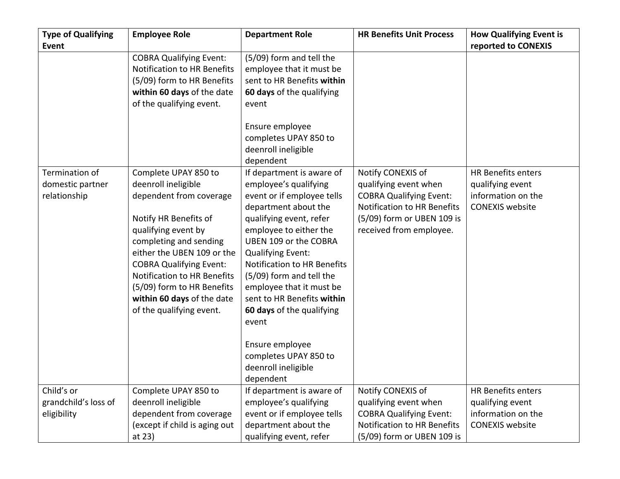| <b>Type of Qualifying</b> | <b>Employee Role</b>           | <b>Department Role</b>      | <b>HR Benefits Unit Process</b>    | <b>How Qualifying Event is</b> |
|---------------------------|--------------------------------|-----------------------------|------------------------------------|--------------------------------|
| Event                     |                                |                             |                                    | reported to CONEXIS            |
|                           | <b>COBRA Qualifying Event:</b> | (5/09) form and tell the    |                                    |                                |
|                           | Notification to HR Benefits    | employee that it must be    |                                    |                                |
|                           | (5/09) form to HR Benefits     | sent to HR Benefits within  |                                    |                                |
|                           | within 60 days of the date     | 60 days of the qualifying   |                                    |                                |
|                           | of the qualifying event.       | event                       |                                    |                                |
|                           |                                |                             |                                    |                                |
|                           |                                | Ensure employee             |                                    |                                |
|                           |                                | completes UPAY 850 to       |                                    |                                |
|                           |                                | deenroll ineligible         |                                    |                                |
|                           |                                | dependent                   |                                    |                                |
| Termination of            | Complete UPAY 850 to           | If department is aware of   | Notify CONEXIS of                  | <b>HR Benefits enters</b>      |
| domestic partner          | deenroll ineligible            | employee's qualifying       | qualifying event when              | qualifying event               |
| relationship              | dependent from coverage        | event or if employee tells  | <b>COBRA Qualifying Event:</b>     | information on the             |
|                           |                                | department about the        | Notification to HR Benefits        | <b>CONEXIS</b> website         |
|                           | Notify HR Benefits of          | qualifying event, refer     | (5/09) form or UBEN 109 is         |                                |
|                           | qualifying event by            | employee to either the      | received from employee.            |                                |
|                           | completing and sending         | UBEN 109 or the COBRA       |                                    |                                |
|                           | either the UBEN 109 or the     | <b>Qualifying Event:</b>    |                                    |                                |
|                           | <b>COBRA Qualifying Event:</b> | Notification to HR Benefits |                                    |                                |
|                           | Notification to HR Benefits    | (5/09) form and tell the    |                                    |                                |
|                           | (5/09) form to HR Benefits     | employee that it must be    |                                    |                                |
|                           | within 60 days of the date     | sent to HR Benefits within  |                                    |                                |
|                           | of the qualifying event.       | 60 days of the qualifying   |                                    |                                |
|                           |                                | event                       |                                    |                                |
|                           |                                |                             |                                    |                                |
|                           |                                | Ensure employee             |                                    |                                |
|                           |                                | completes UPAY 850 to       |                                    |                                |
|                           |                                | deenroll ineligible         |                                    |                                |
|                           |                                | dependent                   |                                    |                                |
| Child's or                | Complete UPAY 850 to           | If department is aware of   | Notify CONEXIS of                  | <b>HR Benefits enters</b>      |
| grandchild's loss of      | deenroll ineligible            | employee's qualifying       | qualifying event when              | qualifying event               |
| eligibility               | dependent from coverage        | event or if employee tells  | <b>COBRA Qualifying Event:</b>     | information on the             |
|                           | (except if child is aging out  | department about the        | <b>Notification to HR Benefits</b> | <b>CONEXIS</b> website         |
|                           | at 23)                         | qualifying event, refer     | (5/09) form or UBEN 109 is         |                                |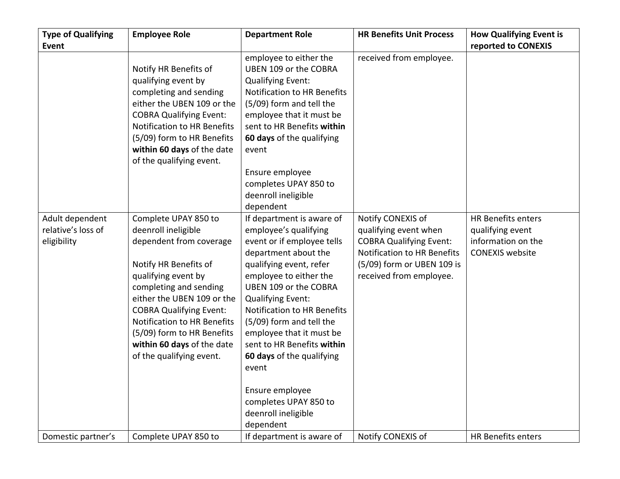| <b>Type of Qualifying</b>                            | <b>Employee Role</b>                                                                                                                                                                                                                                                                                                                    | <b>Department Role</b>                                                                                                                                                                                                                                                                                                                                                                                                                                        | <b>HR Benefits Unit Process</b>                                                                                                                                             | <b>How Qualifying Event is</b>                                                         |
|------------------------------------------------------|-----------------------------------------------------------------------------------------------------------------------------------------------------------------------------------------------------------------------------------------------------------------------------------------------------------------------------------------|---------------------------------------------------------------------------------------------------------------------------------------------------------------------------------------------------------------------------------------------------------------------------------------------------------------------------------------------------------------------------------------------------------------------------------------------------------------|-----------------------------------------------------------------------------------------------------------------------------------------------------------------------------|----------------------------------------------------------------------------------------|
| <b>Event</b>                                         |                                                                                                                                                                                                                                                                                                                                         |                                                                                                                                                                                                                                                                                                                                                                                                                                                               |                                                                                                                                                                             | reported to CONEXIS                                                                    |
|                                                      | Notify HR Benefits of<br>qualifying event by<br>completing and sending<br>either the UBEN 109 or the<br><b>COBRA Qualifying Event:</b><br><b>Notification to HR Benefits</b><br>(5/09) form to HR Benefits<br>within 60 days of the date<br>of the qualifying event.                                                                    | employee to either the<br>UBEN 109 or the COBRA<br><b>Qualifying Event:</b><br>Notification to HR Benefits<br>(5/09) form and tell the<br>employee that it must be<br>sent to HR Benefits within<br>60 days of the qualifying<br>event<br>Ensure employee<br>completes UPAY 850 to<br>deenroll ineligible<br>dependent                                                                                                                                        | received from employee.                                                                                                                                                     |                                                                                        |
| Adult dependent<br>relative's loss of<br>eligibility | Complete UPAY 850 to<br>deenroll ineligible<br>dependent from coverage<br>Notify HR Benefits of<br>qualifying event by<br>completing and sending<br>either the UBEN 109 or the<br><b>COBRA Qualifying Event:</b><br>Notification to HR Benefits<br>(5/09) form to HR Benefits<br>within 60 days of the date<br>of the qualifying event. | If department is aware of<br>employee's qualifying<br>event or if employee tells<br>department about the<br>qualifying event, refer<br>employee to either the<br>UBEN 109 or the COBRA<br><b>Qualifying Event:</b><br>Notification to HR Benefits<br>(5/09) form and tell the<br>employee that it must be<br>sent to HR Benefits within<br>60 days of the qualifying<br>event<br>Ensure employee<br>completes UPAY 850 to<br>deenroll ineligible<br>dependent | Notify CONEXIS of<br>qualifying event when<br><b>COBRA Qualifying Event:</b><br><b>Notification to HR Benefits</b><br>(5/09) form or UBEN 109 is<br>received from employee. | HR Benefits enters<br>qualifying event<br>information on the<br><b>CONEXIS website</b> |
| Domestic partner's                                   | Complete UPAY 850 to                                                                                                                                                                                                                                                                                                                    | If department is aware of                                                                                                                                                                                                                                                                                                                                                                                                                                     | Notify CONEXIS of                                                                                                                                                           | <b>HR Benefits enters</b>                                                              |